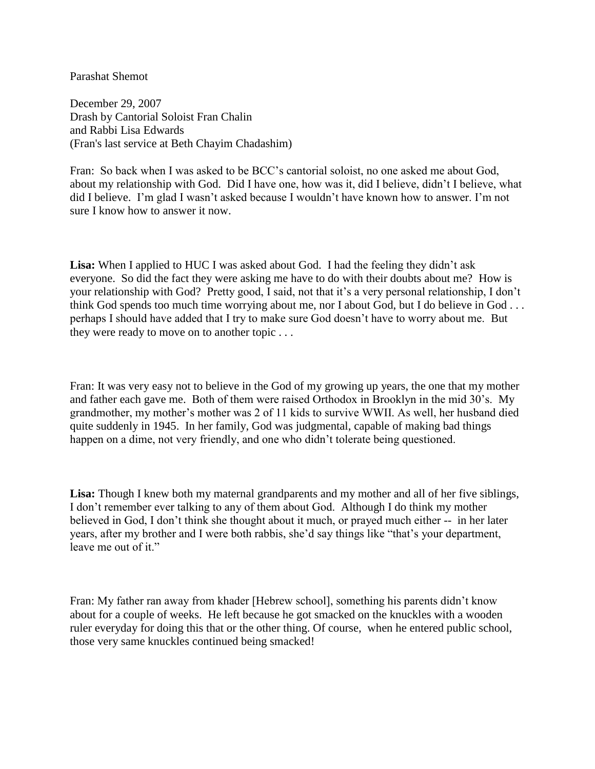## Parashat Shemot

December 29, 2007 Drash by Cantorial Soloist Fran Chalin and Rabbi Lisa Edwards (Fran's last service at Beth Chayim Chadashim)

Fran: So back when I was asked to be BCC's cantorial soloist, no one asked me about God, about my relationship with God. Did I have one, how was it, did I believe, didn't I believe, what did I believe. I'm glad I wasn't asked because I wouldn't have known how to answer. I'm not sure I know how to answer it now.

**Lisa:** When I applied to HUC I was asked about God. I had the feeling they didn't ask everyone. So did the fact they were asking me have to do with their doubts about me? How is your relationship with God? Pretty good, I said, not that it's a very personal relationship, I don't think God spends too much time worrying about me, nor I about God, but I do believe in God . . . perhaps I should have added that I try to make sure God doesn't have to worry about me. But they were ready to move on to another topic . . .

Fran: It was very easy not to believe in the God of my growing up years, the one that my mother and father each gave me. Both of them were raised Orthodox in Brooklyn in the mid 30's. My grandmother, my mother's mother was 2 of 11 kids to survive WWII. As well, her husband died quite suddenly in 1945. In her family, God was judgmental, capable of making bad things happen on a dime, not very friendly, and one who didn't tolerate being questioned.

**Lisa:** Though I knew both my maternal grandparents and my mother and all of her five siblings, I don't remember ever talking to any of them about God. Although I do think my mother believed in God, I don't think she thought about it much, or prayed much either -- in her later years, after my brother and I were both rabbis, she'd say things like "that's your department, leave me out of it."

Fran: My father ran away from khader [Hebrew school], something his parents didn't know about for a couple of weeks. He left because he got smacked on the knuckles with a wooden ruler everyday for doing this that or the other thing. Of course, when he entered public school, those very same knuckles continued being smacked!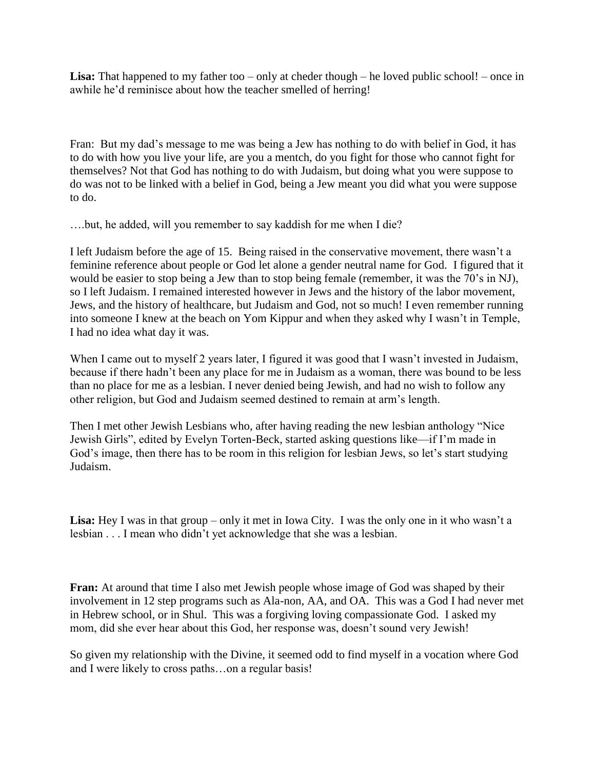Lisa: That happened to my father too – only at cheder though – he loved public school! – once in awhile he'd reminisce about how the teacher smelled of herring!

Fran: But my dad's message to me was being a Jew has nothing to do with belief in God, it has to do with how you live your life, are you a mentch, do you fight for those who cannot fight for themselves? Not that God has nothing to do with Judaism, but doing what you were suppose to do was not to be linked with a belief in God, being a Jew meant you did what you were suppose to do.

….but, he added, will you remember to say kaddish for me when I die?

I left Judaism before the age of 15. Being raised in the conservative movement, there wasn't a feminine reference about people or God let alone a gender neutral name for God. I figured that it would be easier to stop being a Jew than to stop being female (remember, it was the 70's in NJ), so I left Judaism. I remained interested however in Jews and the history of the labor movement, Jews, and the history of healthcare, but Judaism and God, not so much! I even remember running into someone I knew at the beach on Yom Kippur and when they asked why I wasn't in Temple, I had no idea what day it was.

When I came out to myself 2 years later, I figured it was good that I wasn't invested in Judaism, because if there hadn't been any place for me in Judaism as a woman, there was bound to be less than no place for me as a lesbian. I never denied being Jewish, and had no wish to follow any other religion, but God and Judaism seemed destined to remain at arm's length.

Then I met other Jewish Lesbians who, after having reading the new lesbian anthology "Nice Jewish Girls", edited by Evelyn Torten-Beck, started asking questions like—if I'm made in God's image, then there has to be room in this religion for lesbian Jews, so let's start studying Judaism.

**Lisa:** Hey I was in that group – only it met in Iowa City. I was the only one in it who wasn't a lesbian . . . I mean who didn't yet acknowledge that she was a lesbian.

**Fran:** At around that time I also met Jewish people whose image of God was shaped by their involvement in 12 step programs such as Ala-non, AA, and OA. This was a God I had never met in Hebrew school, or in Shul. This was a forgiving loving compassionate God. I asked my mom, did she ever hear about this God, her response was, doesn't sound very Jewish!

So given my relationship with the Divine, it seemed odd to find myself in a vocation where God and I were likely to cross paths…on a regular basis!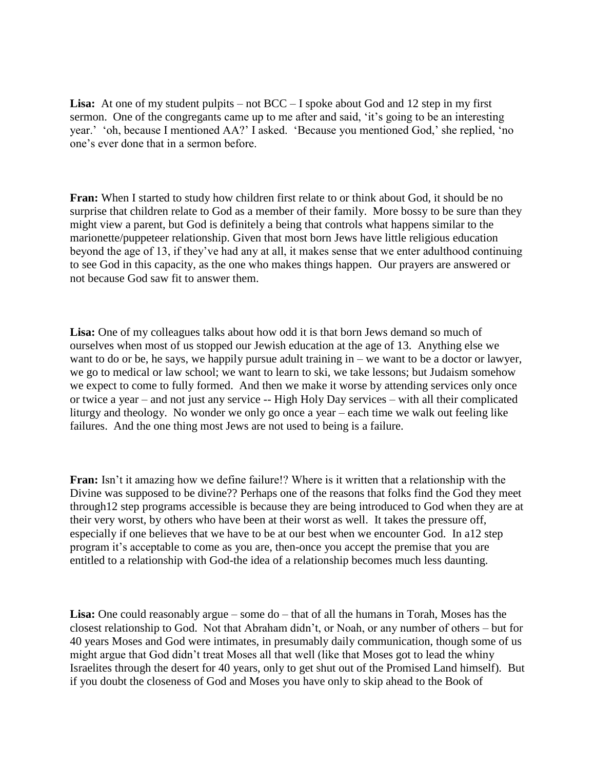**Lisa:** At one of my student pulpits – not BCC – I spoke about God and 12 step in my first sermon. One of the congregants came up to me after and said, 'it's going to be an interesting year.' 'oh, because I mentioned AA?' I asked. 'Because you mentioned God,' she replied, 'no one's ever done that in a sermon before.

**Fran:** When I started to study how children first relate to or think about God, it should be no surprise that children relate to God as a member of their family. More bossy to be sure than they might view a parent, but God is definitely a being that controls what happens similar to the marionette/puppeteer relationship. Given that most born Jews have little religious education beyond the age of 13, if they've had any at all, it makes sense that we enter adulthood continuing to see God in this capacity, as the one who makes things happen. Our prayers are answered or not because God saw fit to answer them.

**Lisa:** One of my colleagues talks about how odd it is that born Jews demand so much of ourselves when most of us stopped our Jewish education at the age of 13. Anything else we want to do or be, he says, we happily pursue adult training in  $-$  we want to be a doctor or lawyer, we go to medical or law school; we want to learn to ski, we take lessons; but Judaism somehow we expect to come to fully formed. And then we make it worse by attending services only once or twice a year – and not just any service -- High Holy Day services – with all their complicated liturgy and theology. No wonder we only go once a year – each time we walk out feeling like failures. And the one thing most Jews are not used to being is a failure.

**Fran:** Isn't it amazing how we define failure!? Where is it written that a relationship with the Divine was supposed to be divine?? Perhaps one of the reasons that folks find the God they meet through12 step programs accessible is because they are being introduced to God when they are at their very worst, by others who have been at their worst as well. It takes the pressure off, especially if one believes that we have to be at our best when we encounter God. In a12 step program it's acceptable to come as you are, then-once you accept the premise that you are entitled to a relationship with God-the idea of a relationship becomes much less daunting.

Lisa: One could reasonably argue – some do – that of all the humans in Torah, Moses has the closest relationship to God. Not that Abraham didn't, or Noah, or any number of others – but for 40 years Moses and God were intimates, in presumably daily communication, though some of us might argue that God didn't treat Moses all that well (like that Moses got to lead the whiny Israelites through the desert for 40 years, only to get shut out of the Promised Land himself). But if you doubt the closeness of God and Moses you have only to skip ahead to the Book of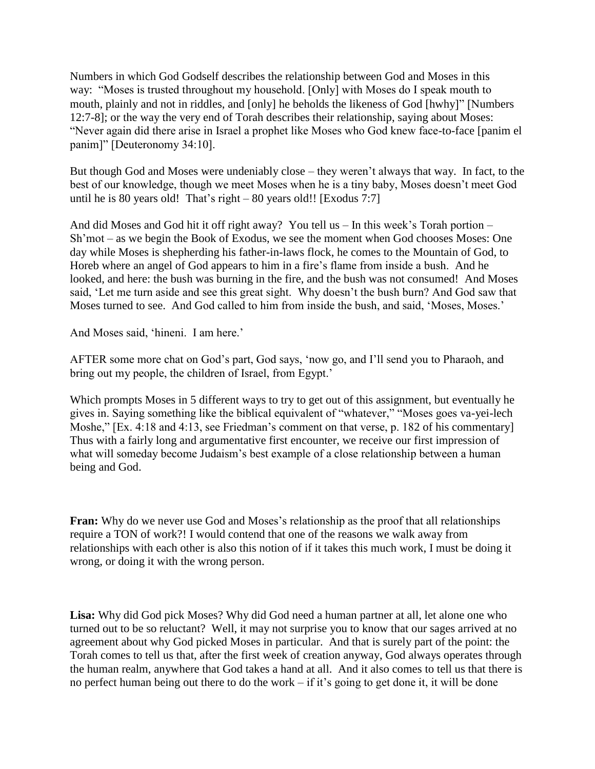Numbers in which God Godself describes the relationship between God and Moses in this way: "Moses is trusted throughout my household. [Only] with Moses do I speak mouth to mouth, plainly and not in riddles, and [only] he beholds the likeness of God [hwhy]" [Numbers 12:7-8]; or the way the very end of Torah describes their relationship, saying about Moses: "Never again did there arise in Israel a prophet like Moses who God knew face-to-face [panim el panim]" [Deuteronomy 34:10].

But though God and Moses were undeniably close – they weren't always that way. In fact, to the best of our knowledge, though we meet Moses when he is a tiny baby, Moses doesn't meet God until he is 80 years old! That's right  $-80$  years old!! [Exodus 7:7]

And did Moses and God hit it off right away? You tell us – In this week's Torah portion – Sh'mot – as we begin the Book of Exodus, we see the moment when God chooses Moses: One day while Moses is shepherding his father-in-laws flock, he comes to the Mountain of God, to Horeb where an angel of God appears to him in a fire's flame from inside a bush. And he looked, and here: the bush was burning in the fire, and the bush was not consumed! And Moses said, 'Let me turn aside and see this great sight. Why doesn't the bush burn? And God saw that Moses turned to see. And God called to him from inside the bush, and said, 'Moses, Moses.'

And Moses said, 'hineni. I am here.'

AFTER some more chat on God's part, God says, 'now go, and I'll send you to Pharaoh, and bring out my people, the children of Israel, from Egypt.'

Which prompts Moses in 5 different ways to try to get out of this assignment, but eventually he gives in. Saying something like the biblical equivalent of "whatever," "Moses goes va-yei-lech Moshe," [Ex. 4:18 and 4:13, see Friedman's comment on that verse, p. 182 of his commentary] Thus with a fairly long and argumentative first encounter, we receive our first impression of what will someday become Judaism's best example of a close relationship between a human being and God.

**Fran:** Why do we never use God and Moses's relationship as the proof that all relationships require a TON of work?! I would contend that one of the reasons we walk away from relationships with each other is also this notion of if it takes this much work, I must be doing it wrong, or doing it with the wrong person.

**Lisa:** Why did God pick Moses? Why did God need a human partner at all, let alone one who turned out to be so reluctant? Well, it may not surprise you to know that our sages arrived at no agreement about why God picked Moses in particular. And that is surely part of the point: the Torah comes to tell us that, after the first week of creation anyway, God always operates through the human realm, anywhere that God takes a hand at all. And it also comes to tell us that there is no perfect human being out there to do the work – if it's going to get done it, it will be done